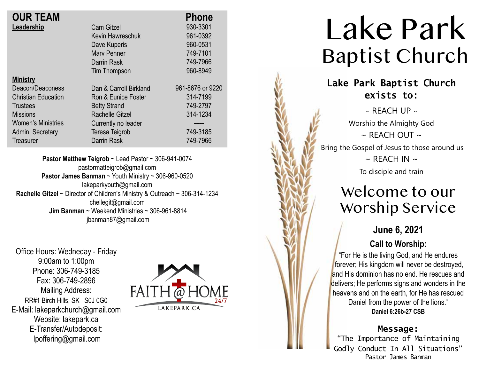| <b>OUR TEAM</b>            |                        | <b>Phone</b>     |
|----------------------------|------------------------|------------------|
| Leadership                 | <b>Cam Gitzel</b>      | 930-3301         |
|                            | Kevin Hawreschuk       | 961-0392         |
|                            | Dave Kuperis           | 960-0531         |
|                            | <b>Mary Penner</b>     | 749-7101         |
|                            | Darrin Rask            | 749-7966         |
|                            | Tim Thompson           | 960-8949         |
| <b>Ministry</b>            |                        |                  |
| Deacon/Deaconess           | Dan & Carroll Birkland | 961-8676 or 9220 |
| <b>Christian Education</b> | Ron & Eunice Foster    | 314-7199         |
| <b>Trustees</b>            | <b>Betty Strand</b>    | 749-2797         |
| <b>Missions</b>            | <b>Rachelle Gitzel</b> | 314-1234         |
| <b>Women's Ministries</b>  | Currently no leader    |                  |
| Admin. Secretary           | Teresa Teigrob         | 749-3185         |
| Treasurer                  | Darrin Rask            | 749-7966         |

**Pastor Matthew Teigrob** ~ Lead Pastor ~ 306-941-0074 pastormatteigrob@gmail.com **Pastor James Banman** ~ Youth Ministry ~ 306-960-0520 lakeparkyouth@gmail.com **Rachelle Gitzel** ~ Director of Children's Ministry & Outreach ~ 306-314-1234 chellegit@gmail.com  **Jim Banman** ~ Weekend Ministries ~ 306-961-8814 jbanman87@gmail.com

Office Hours: Wedneday - Friday 9:00am to 1:00pm Phone: 306-749-3185 Fax: 306-749-2896 Mailing Address: RR#1 Birch Hills, SK S0J 0G0 E-Mail: lakeparkchurch@gmail.com Website: lakepark.ca E-Transfer/Autodeposit: lpoffering@gmail.com



# Lake Park Baptist Church

### **Lake Park Baptist Church exists to:**

 $\sim$  RFACH UP  $\sim$ Worship the Almighty God  $\sim$  REACH OUT  $\sim$ Bring the Gospel of Jesus to those around us  $\sim$  REACH IN  $\sim$ To disciple and train

## Welcome to our Worship Service

### **June 6, 2021**

#### **Call to Worship:**

"For He is the living God, and He endures forever; His kingdom will never be destroyed, and His dominion has no end. He rescues and delivers; He performs signs and wonders in the heavens and on the earth, for He has rescued Daniel from the power of the lions. " **Daniel 6:26b-27 CSB**

#### **Message:**

"The Importance of Maintaining Godly Conduct In All Situations" Pastor James Banman